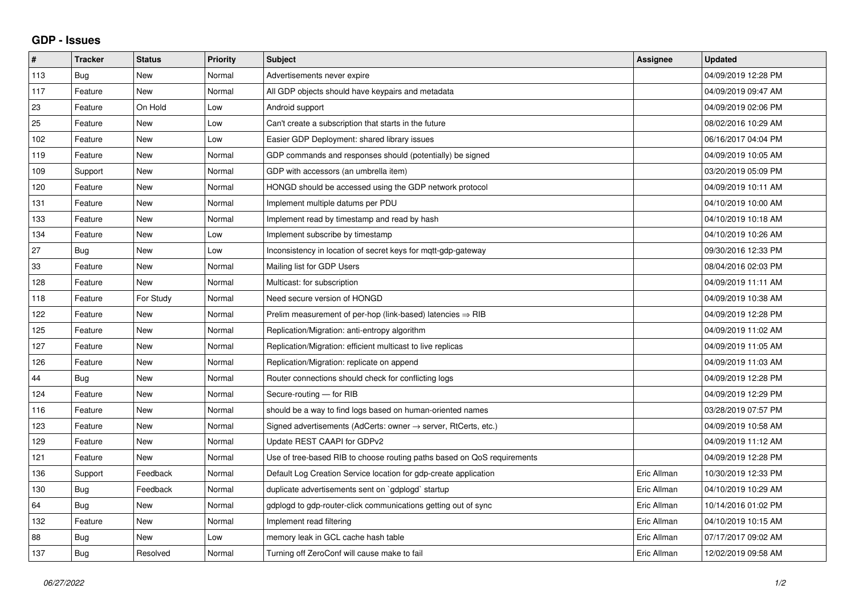## **GDP - Issues**

| #   | <b>Tracker</b> | <b>Status</b> | Priority | <b>Subject</b>                                                             | <b>Assignee</b> | <b>Updated</b>      |
|-----|----------------|---------------|----------|----------------------------------------------------------------------------|-----------------|---------------------|
| 113 | Bug            | New           | Normal   | Advertisements never expire                                                |                 | 04/09/2019 12:28 PM |
| 117 | Feature        | New           | Normal   | All GDP objects should have keypairs and metadata                          |                 | 04/09/2019 09:47 AM |
| 23  | Feature        | On Hold       | Low      | Android support                                                            |                 | 04/09/2019 02:06 PM |
| 25  | Feature        | New           | Low      | Can't create a subscription that starts in the future                      |                 | 08/02/2016 10:29 AM |
| 102 | Feature        | <b>New</b>    | Low      | Easier GDP Deployment: shared library issues                               |                 | 06/16/2017 04:04 PM |
| 119 | Feature        | <b>New</b>    | Normal   | GDP commands and responses should (potentially) be signed                  |                 | 04/09/2019 10:05 AM |
| 109 | Support        | New           | Normal   | GDP with accessors (an umbrella item)                                      |                 | 03/20/2019 05:09 PM |
| 120 | Feature        | <b>New</b>    | Normal   | HONGD should be accessed using the GDP network protocol                    |                 | 04/09/2019 10:11 AM |
| 131 | Feature        | New           | Normal   | Implement multiple datums per PDU                                          |                 | 04/10/2019 10:00 AM |
| 133 | Feature        | <b>New</b>    | Normal   | Implement read by timestamp and read by hash                               |                 | 04/10/2019 10:18 AM |
| 134 | Feature        | <b>New</b>    | Low      | Implement subscribe by timestamp                                           |                 | 04/10/2019 10:26 AM |
| 27  | Bug            | New           | Low      | Inconsistency in location of secret keys for mqtt-gdp-gateway              |                 | 09/30/2016 12:33 PM |
| 33  | Feature        | <b>New</b>    | Normal   | Mailing list for GDP Users                                                 |                 | 08/04/2016 02:03 PM |
| 128 | Feature        | <b>New</b>    | Normal   | Multicast: for subscription                                                |                 | 04/09/2019 11:11 AM |
| 118 | Feature        | For Study     | Normal   | Need secure version of HONGD                                               |                 | 04/09/2019 10:38 AM |
| 122 | Feature        | <b>New</b>    | Normal   | Prelim measurement of per-hop (link-based) latencies $\Rightarrow$ RIB     |                 | 04/09/2019 12:28 PM |
| 125 | Feature        | New           | Normal   | Replication/Migration: anti-entropy algorithm                              |                 | 04/09/2019 11:02 AM |
| 127 | Feature        | <b>New</b>    | Normal   | Replication/Migration: efficient multicast to live replicas                |                 | 04/09/2019 11:05 AM |
| 126 | Feature        | <b>New</b>    | Normal   | Replication/Migration: replicate on append                                 |                 | 04/09/2019 11:03 AM |
| 44  | <b>Bug</b>     | <b>New</b>    | Normal   | Router connections should check for conflicting logs                       |                 | 04/09/2019 12:28 PM |
| 124 | Feature        | New           | Normal   | Secure-routing - for RIB                                                   |                 | 04/09/2019 12:29 PM |
| 116 | Feature        | <b>New</b>    | Normal   | should be a way to find logs based on human-oriented names                 |                 | 03/28/2019 07:57 PM |
| 123 | Feature        | <b>New</b>    | Normal   | Signed advertisements (AdCerts: owner $\rightarrow$ server, RtCerts, etc.) |                 | 04/09/2019 10:58 AM |
| 129 | Feature        | New           | Normal   | Update REST CAAPI for GDPv2                                                |                 | 04/09/2019 11:12 AM |
| 121 | Feature        | <b>New</b>    | Normal   | Use of tree-based RIB to choose routing paths based on QoS requirements    |                 | 04/09/2019 12:28 PM |
| 136 | Support        | Feedback      | Normal   | Default Log Creation Service location for gdp-create application           | Eric Allman     | 10/30/2019 12:33 PM |
| 130 | <b>Bug</b>     | Feedback      | Normal   | duplicate advertisements sent on `gdplogd` startup                         | Eric Allman     | 04/10/2019 10:29 AM |
| 64  | Bug            | <b>New</b>    | Normal   | gdplogd to gdp-router-click communications getting out of sync             | Eric Allman     | 10/14/2016 01:02 PM |
| 132 | Feature        | New           | Normal   | Implement read filtering                                                   | Eric Allman     | 04/10/2019 10:15 AM |
| 88  | <b>Bug</b>     | New           | Low      | memory leak in GCL cache hash table                                        | Eric Allman     | 07/17/2017 09:02 AM |
| 137 | <b>Bug</b>     | Resolved      | Normal   | Turning off ZeroConf will cause make to fail                               | Eric Allman     | 12/02/2019 09:58 AM |